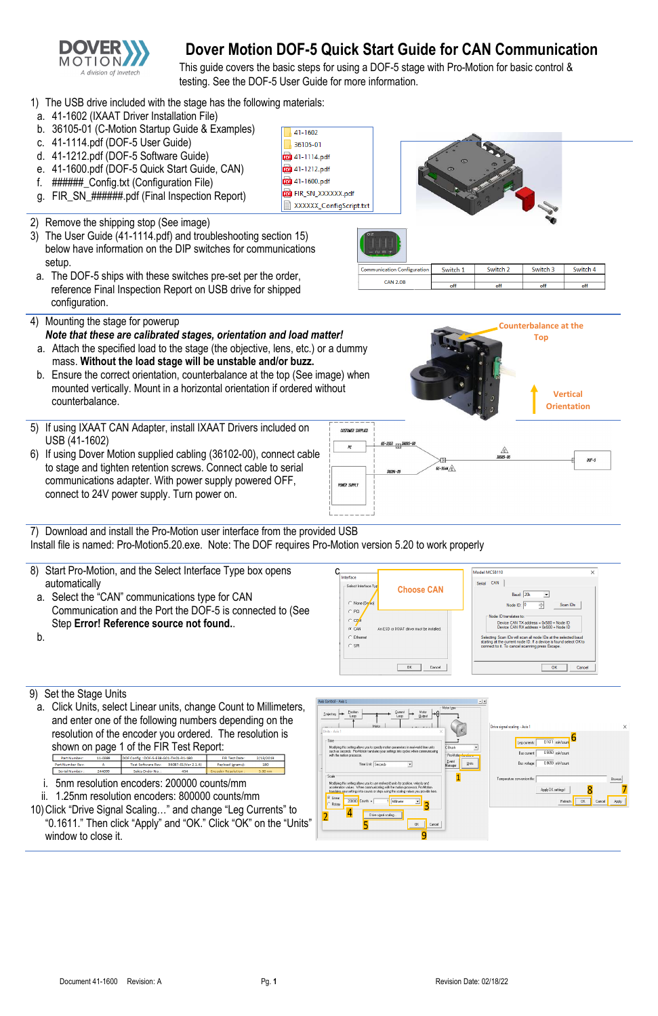

# **Dover Motion DOF-5 Quick Start Guide for CAN Communication**

This guide covers the basic steps for using a DOF-5 stage with Pro-Motion for basic control & testing. See the DOF-5 User Guide for more information.

> 41-1602 36105-01 **por** 41-1114.pdf **pot** 41-1212.pdf por 41-1600.pdf

- 1) The USB drive included with the stage has the following materials:
- a. 41-1602 (IXAAT Driver Installation File)
- b. 36105-01 (C-Motion Startup Guide & Examples)
- c. 41-1114.pdf (DOF-5 User Guide)
- d. 41-1212.pdf (DOF-5 Software Guide)
- e. 41-1600.pdf (DOF-5 Quick Start Guide, CAN)
- f. ######\_Config.txt (Configuration File)
- g. FIR SN ######.pdf (Final Inspection Report)
- 2) Remove the shipping stop (See image)
- 3) The User Guide (41-1114.pdf) and troubleshooting section [15\)](#page-1-0) below have information on the DIP switches for communications setup.
- a. The DOF-5 ships with these switches pre-set per the order, reference Final Inspection Report on USB drive for shipped configuration.
- 4) Mounting the stage for powerup *Note that these are calibrated stages, orientation and load matter!* 
	- a. Attach the specified load to the stage (the objective, lens, etc.) or a dummy mass. **Without the load stage will be unstable and/or buzz.**
	- b. Ensure the correct orientation, counterbalance at the top (See image) when mounted vertically. Mount in a horizontal orientation if ordered without counterbalance.
- 5) If using IXAAT CAN Adapter, install IXAAT Drivers included on USB (41-1602)
- 6) If using Dover Motion supplied cabling (36102-00), connect cable to stage and tighten retention screws. Connect cable to serial communications adapter. With power supply powered OFF, connect to 24V power supply. Turn power on.

- 7) Download and install the Pro-Motion user interface from the provided USB Install file is named: Pro-Motion5.20.exe. Note: The DOF requires Pro-Motion version 5.20 to work properly
- 8) Start Pro-Motion, and the Select Interface Type box opens automatically
	- a. Select the "CAN" communications type for CAN Communication and the Port the DOF-5 is connected to (See Step **Error! Reference source not found.**.

b.

## 9) Set the Stage Units

a. Click Units, select Linear units, change Count to Millimeters, and enter one of the following numbers depending on the resolution of the encoder you ordered. The resolution is shown on page 1 of the FIR Test Report:



**FOR** FIR\_SN\_XXXXXX.pdf XXXXXX\_ConfigScript.txt

| Communication Configuration | Switch 1 | Switch <sub>2</sub> | Switch <sub>3</sub> | Switch 4 |
|-----------------------------|----------|---------------------|---------------------|----------|
| <b>CAN 2.0B</b>             |          |                     |                     |          |
|                             | off      | off                 | off                 | off      |

i. 5nm resolution encoders: 200000 counts/mm



ii. 1.25nm resolution encoders: 800000 counts/mm 10)Click "Drive Signal Scaling…" and change "Leg Currents" to "0.1611." Then click "Apply" and "OK." Click "OK" on the "Units" window to close it.

| such as seconds. Pro-Motion translates your settings into cycles when communicating<br>with the motion processor.                                                                                                                                                                                                                  | Pro-Motion functio |    |
|------------------------------------------------------------------------------------------------------------------------------------------------------------------------------------------------------------------------------------------------------------------------------------------------------------------------------------|--------------------|----|
| Time Unit: Seconds                                                                                                                                                                                                                                                                                                                 | Event<br>Manager   | Ur |
| Scale<br>Modifying this setting allows you to use real-world units for position, velocity and<br>acceleration values. When communicating with the motion processor, Pro-Motion<br>translates your settings into counts or steps using the scaling values you provide here.<br>⊕ Linear<br>200000 Counts =<br>Milimeter<br>- Rotary |                    |    |
| Drive signal scaling<br>Cancel<br>OK                                                                                                                                                                                                                                                                                               |                    |    |

| Bus current:                 | 0.5050<br>mA/cnunt |    |        |        |
|------------------------------|--------------------|----|--------|--------|
| Bus voltage:                 | 0.9659 mV/cnunt    |    |        |        |
| Temperature conversion file: |                    |    |        | Browse |
|                              | Apply DK settings! |    |        |        |
|                              | Refresh            | 0K | Cancel | Apply  |



**Counterbalance at the Top** 

| Part Number:     | 11-0389 | DOF Config: DOF-5-E38-G01-TH01-R1-180 |                     | <b>FIR Test Date:</b>      | 2/13/2019 |
|------------------|---------|---------------------------------------|---------------------|----------------------------|-----------|
| Part Number Rev: |         | Test Software Rev:                    | 36087-01(Ver 2 1 4) | Pavload (grams):           | 180       |
| Serial Number:   | 244099  | Sales Order No. 1                     | 454                 | <b>Encoder Resolution:</b> | 5.00 nm   |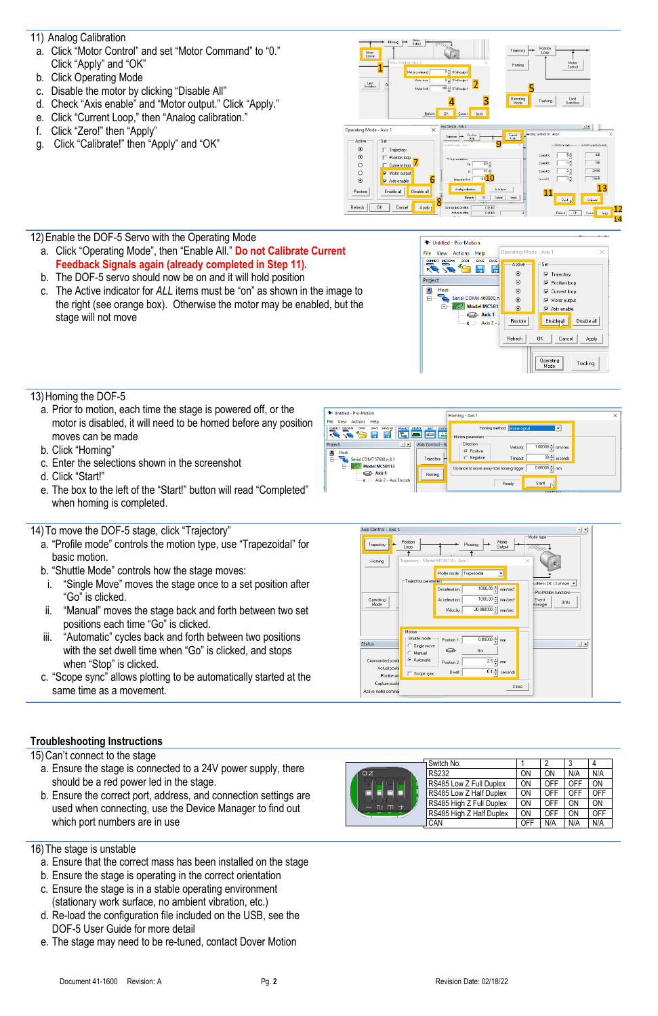- <span id="page-1-1"></span>11) Analog Calibration
- a. Click "Motor Control" and set "Motor Command" to "0." Click "Apply" and "OK"
- b. Click Operating Mode
- c. Disable the motor by clicking "Disable All"
- d. Check "Axis enable" and "Motor output." Click "Apply."
- e. Click "Current Loop," then "Analog calibration."
- f. Click "Zero!" then "Apply"
- g. Click "Calibrate!" then "Apply" and "OK"





## 12)Enable the DOF-5 Servo with the Operating Mode

- a. Click "Operating Mode", then "Enable All." **Do not Calibrate Current Feedback Signals again (already completed in Step [11\).](#page-1-1)**
- b. The DOF-5 servo should now be on and it will hold position
- c. The Active indicator for *ALL* items must be "on" as shown in the image to the right (see orange box). Otherwise the motor may be enabled, but the stage will not move



## 13)Homing the DOF-5

- a. Prior to motion, each time the stage is powered off, or the motor is disabled, it will need to be homed before any position moves can be made
- b. Click "Homing"
- c. Enter the selections shown in the screenshot
- d. Click "Start!"
- e. The box to the left of the "Start!" button will read "Completed" when homing is completed.

#### 14)To move the DOF-5 stage, click "Trajectory"

- a. "Profile mode" controls the motion type, use "Trapezoidal" for basic motion.
- b. "Shuttle Mode" controls how the stage moves:
- i. "Single Move" moves the stage once to a set position after "Go" is clicked.
- ii. "Manual" moves the stage back and forth between two set positions each time "Go" is clicked.
- iii. "Automatic" cycles back and forth between two positions with the set dwell time when "Go" is clicked, and stops when "Stop" is clicked.
- c. "Scope sync" allows plotting to be automatically started at the same time as a movement.





#### **Troubleshooting Instructions**

<span id="page-1-0"></span>15)Can't connect to the stage

- a. Ensure the stage is connected to a 24V power supply, there should be a red power led in the stage.
- b. Ensure the correct port, address, and connection settings are used when connecting, use the Device Manager to find out which port numbers are in use

|                    | Switch No.               |     | ŋ   |     | 4   |
|--------------------|--------------------------|-----|-----|-----|-----|
| OZ<br>士<br>m<br>ÆU | <b>RS232</b>             | ON  | ON  | N/A | N/A |
|                    | RS485 Low Z Full Duplex  | ON  | OFF | OFF | ON  |
|                    | RS485 Low Z Half Duplex  | ON  | OFF | OFF | OFF |
|                    | RS485 High Z Full Duplex | ON  | OFF | ON  | ON  |
|                    | RS485 High Z Half Duplex | ON  | OFF | ON  | OFF |
|                    | CAN                      | OFF | N/A | N/A | N/A |

#### 16)The stage is unstable

- a. Ensure that the correct mass has been installed on the stage
- b. Ensure the stage is operating in the correct orientation
- c. Ensure the stage is in a stable operating environment (stationary work surface, no ambient vibration, etc.)
- d. Re-load the configuration file included on the USB, see the DOF-5 User Guide for more detail
- e. The stage may need to be re-tuned, contact Dover Motion